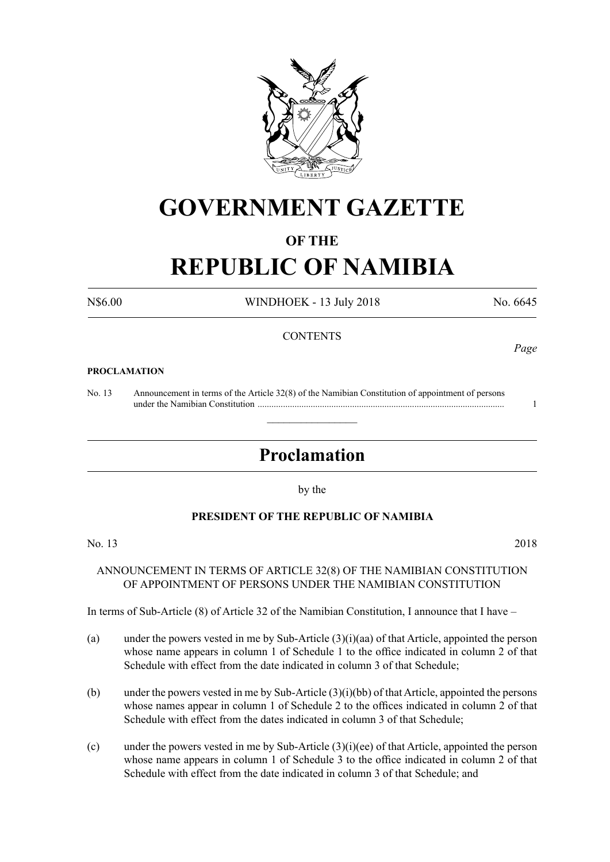

## **GOVERNMENT GAZETTE**

### **OF THE**

# **REPUBLIC OF NAMIBIA**

N\$6.00 WINDHOEK - 13 July 2018 No. 6645

### **CONTENTS**

#### **PROCLAMATION**

No. 13 Announcement in terms of the Article 32(8) of the Namibian Constitution of appointment of persons under the Namibian Constitution ........................................................................................................... 1

### **Proclamation**

 $\overline{\phantom{a}}$  , where  $\overline{\phantom{a}}$ 

by the

### **PRESIDENT OF THE REPUBLIC OF NAMIBIA**

No. 13 2018

### ANNOUNCEMENT IN TERMS OF ARTICLE 32(8) OF THE NAMIBIAN CONSTITUTION OF APPOINTMENT OF PERSONS UNDER THE NAMIBIAN CONSTITUTION

In terms of Sub-Article (8) of Article 32 of the Namibian Constitution, I announce that I have –

- (a) under the powers vested in me by Sub-Article (3)(i)(aa) of that Article, appointed the person whose name appears in column 1 of Schedule 1 to the office indicated in column 2 of that Schedule with effect from the date indicated in column 3 of that Schedule;
- (b) under the powers vested in me by Sub-Article (3)(i)(bb) of that Article, appointed the persons whose names appear in column 1 of Schedule 2 to the offices indicated in column 2 of that Schedule with effect from the dates indicated in column 3 of that Schedule;
- (c) under the powers vested in me by Sub-Article  $(3)(i)(ee)$  of that Article, appointed the person whose name appears in column 1 of Schedule 3 to the office indicated in column 2 of that Schedule with effect from the date indicated in column 3 of that Schedule; and

*Page*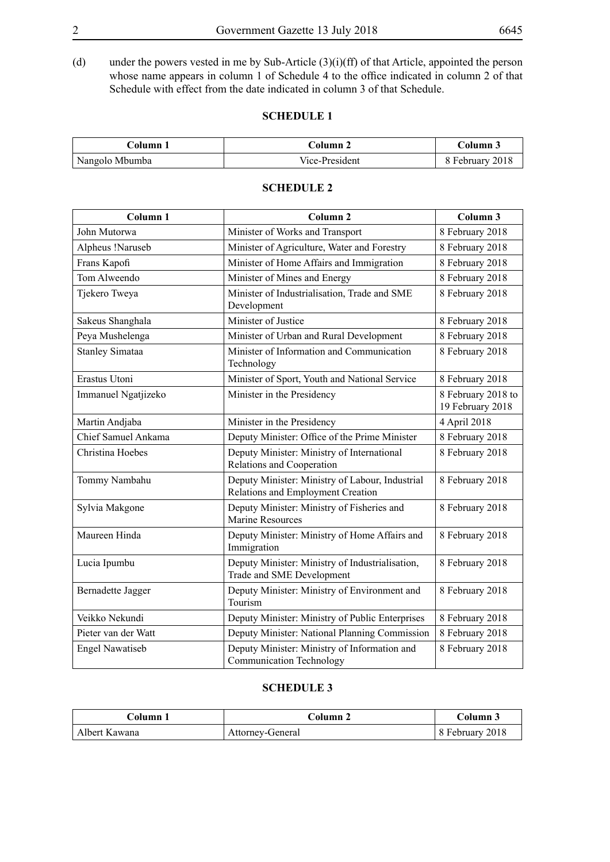(d) under the powers vested in me by Sub-Article (3)(i)(ff) of that Article, appointed the person whose name appears in column 1 of Schedule 4 to the office indicated in column 2 of that Schedule with effect from the date indicated in column 3 of that Schedule.

#### **SCHEDULE 1**

| $\operatorname{\mathsf{Column}} 1$ | Column 2       | Column 3        |
|------------------------------------|----------------|-----------------|
| Nangolo Mbumba                     | Vice-President | 8 February 2018 |

| Column 1                 | Column <sub>2</sub>                                                                  | Column 3                               |
|--------------------------|--------------------------------------------------------------------------------------|----------------------------------------|
| John Mutorwa             | Minister of Works and Transport                                                      | 8 February 2018                        |
| Alpheus !Naruseb         | Minister of Agriculture, Water and Forestry                                          | 8 February 2018                        |
| Frans Kapofi             | Minister of Home Affairs and Immigration                                             | 8 February 2018                        |
| Tom Alweendo             | Minister of Mines and Energy                                                         | 8 February 2018                        |
| Tjekero Tweya            | Minister of Industrialisation, Trade and SME<br>Development                          | 8 February 2018                        |
| Sakeus Shanghala         | Minister of Justice                                                                  | 8 February 2018                        |
| Peya Mushelenga          | Minister of Urban and Rural Development                                              | 8 February 2018                        |
| <b>Stanley Simataa</b>   | Minister of Information and Communication<br>Technology                              | 8 February 2018                        |
| Erastus Utoni            | Minister of Sport, Youth and National Service                                        | 8 February 2018                        |
| Immanuel Ngatjizeko      | Minister in the Presidency                                                           | 8 February 2018 to<br>19 February 2018 |
| Martin Andjaba           | Minister in the Presidency                                                           | 4 April 2018                           |
| Chief Samuel Ankama      | Deputy Minister: Office of the Prime Minister                                        | 8 February 2018                        |
| Christina Hoebes         | Deputy Minister: Ministry of International<br>Relations and Cooperation              | 8 February 2018                        |
| Tommy Nambahu            | Deputy Minister: Ministry of Labour, Industrial<br>Relations and Employment Creation | 8 February 2018                        |
| Sylvia Makgone           | Deputy Minister: Ministry of Fisheries and<br><b>Marine Resources</b>                | 8 February 2018                        |
| Maureen Hinda            | Deputy Minister: Ministry of Home Affairs and<br>Immigration                         | 8 February 2018                        |
| Lucia Ipumbu             | Deputy Minister: Ministry of Industrialisation,<br>Trade and SME Development         | 8 February 2018                        |
| <b>Bernadette Jagger</b> | Deputy Minister: Ministry of Environment and<br>Tourism                              | 8 February 2018                        |
| Veikko Nekundi           | Deputy Minister: Ministry of Public Enterprises                                      | 8 February 2018                        |
| Pieter van der Watt      | Deputy Minister: National Planning Commission                                        | 8 February 2018                        |
| <b>Engel Nawatiseb</b>   | Deputy Minister: Ministry of Information and<br><b>Communication Technology</b>      | 8 February 2018                        |

#### **SCHEDULE 2**

#### **SCHEDULE 3**

| Column 1      | Column 2         | Column 3        |
|---------------|------------------|-----------------|
| Albert Kawana | Attorney-General | 8 February 2018 |